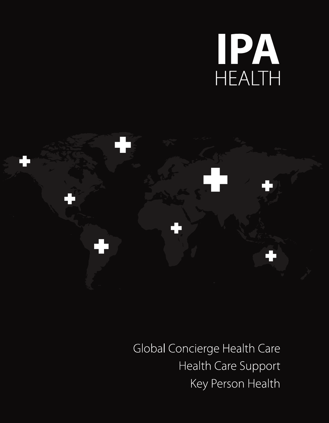# HEALTH



Global Concierge Health Care Health Care Support Key Person Health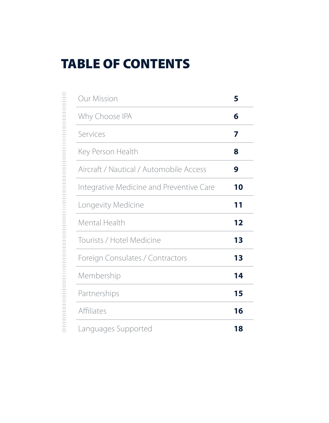# TABLE OF CONTENTS

| <b>Our Mission</b>                       | 5  |
|------------------------------------------|----|
| Why Choose IPA                           | 6  |
| Services                                 | 7  |
| Key Person Health                        | 8  |
| Aircraft / Nautical / Automobile Access  | 9  |
| Integrative Medicine and Preventive Care | 10 |
| Longevity Medicine                       | 11 |
| Mental Health                            | 12 |
| Tourists / Hotel Medicine                | 13 |
| Foreign Consulates / Contractors         | 13 |
| Membership                               | 14 |
| Partnerships                             | 15 |
| Affiliates                               | 16 |
| Languages Supported                      | 18 |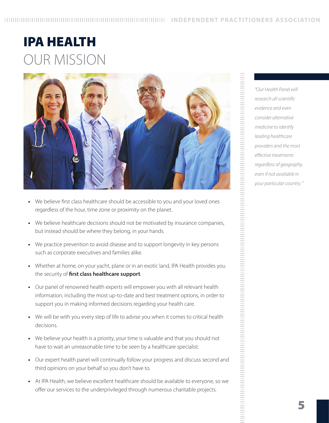# IPA HEALTH OUR MISSION



- We believe first class healthcare should be accessible to you and your loved ones regardless of the hour, time zone or proximity on the planet.
- **•**  We believe healthcare decisions should not be motivated by insurance companies, but instead should be where they belong, in your hands.
- We practice prevention to avoid disease and to support longevity in key persons such as corporate executives and families alike.
- Whether at home, on your yacht, plane or in an exotic land, IPA Health provides you the security of **first class healthcare support**.
- **•**  Our panel of renowned health experts will empower you with all relevant health information, including the most up-to-date and best treatment options, in order to support you in making informed decisions regarding your health care.
- We will be with you every step of life to advise you when it comes to critical health decisions.
- We believe your health is a priority, your time is valuable and that you should not have to wait an unreasonable time to be seen by a healthcare specialist.
- **•**  Our expert health panel will continually follow your progress and discuss second and third opinions on your behalf so you don't have to.
- **•**  At IPA Health, we believe excellent healthcare should be available to everyone, so we offer our services to the underprivileged through numerous charitable projects.

*"Our Health Panel will research all scientific evidence and even consider alternative medicine to identify leading healthcare providers and the most effective treatments regardless of geography, even if not available in your particular country. "*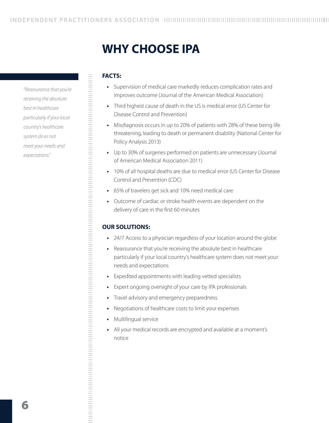# **WHY CHOOSE IPA**

#### **FACTS:**

- Supervision of medical care markedly reduces complication rates and improves outcome (Journal of the American Medical Association)
- **•**  Third highest cause of death in the US is medical error (US Center for Disease Control and Prevention)
- **•**  Misdiagnosis occurs in up to 20% of patients with 28% of these being life threatening, leading to death or permanent disability (National Center for Policy Analysis 2013)
- **•**  Up to 30% of surgeries performed on patients are unnecessary (Journal of American Medical Association 2011)
- **•**  10% of all hospital deaths are due to medical error (US Center for Disease Control and Prevention (CDC)
- **•**  65% of travelers get sick and 10% need medical care
- **•**  Outcome of cardiac or stroke health events are dependent on the delivery of care in the first 60 minutes

#### **OUR SOLUTIONS:**

- **•**  24/7 Access to a physician regardless of your location around the globe
- **•**  Reassurance that you're receiving the absolute best in healthcare particularly if your local country's healthcare system does not meet your needs and expectations
- **•**  Expedited appointments with leading vetted specialists
- **•**  Expert ongoing oversight of your care by IPA professionals
- **•**  Travel advisory and emergency preparedness
- **•**  Negotiations of healthcare costs to limit your expenses
- **•**  Multilingual service
- All your medical records are encrypted and available at a moment's notice

*"Reassurance that you're receiving the absolute best in healthcare particularly if your local country's healthcare system do es not meet your needs and expectations."*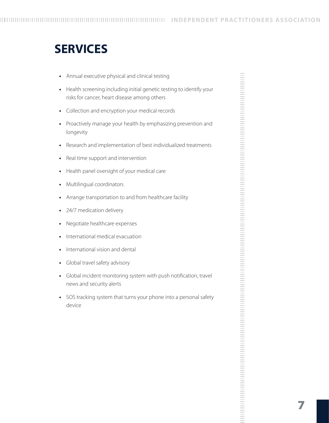# **SERVICES**

- **•**  Annual executive physical and clinical testing
- **•**  Health screening including initial genetic testing to identify your risks for cancer, heart disease among others
- **•**  Collection and encryption your medical records
- **•**  Proactively manage your health by emphasizing prevention and longevity
- **•**  Research and implementation of best individualized treatments
- **•**  Real time support and intervention
- **•**  Health panel oversight of your medical care
- **•**  Multilingual coordinators
- **•**  Arrange transportation to and from healthcare facility
- **•**  24/7 medication delivery
- **•**  Negotiate healthcare expenses
- **•**  International medical evacuation
- **•**  International vision and dental
- **•**  Global travel safety advisory
- **•**  Global incident monitoring system with push notification, travel news and security alerts
- **•**  SOS tracking system that turns your phone into a personal safety device

| ł              |
|----------------|
| i              |
|                |
|                |
|                |
|                |
|                |
|                |
|                |
|                |
|                |
|                |
|                |
|                |
|                |
|                |
|                |
|                |
|                |
|                |
|                |
|                |
|                |
|                |
|                |
|                |
|                |
|                |
|                |
|                |
|                |
|                |
|                |
|                |
|                |
| í              |
| í              |
|                |
| í              |
| í              |
| í              |
| í              |
|                |
| í              |
| í              |
| í              |
| í              |
| í              |
| ı              |
|                |
| í              |
| ı              |
| í              |
| i              |
|                |
| í              |
| ۰              |
| ł              |
| ۰              |
|                |
| í<br>۰         |
|                |
|                |
| ı              |
| ۰              |
|                |
| ı<br>۰         |
|                |
| i,             |
| ۰              |
| i,             |
| ۰              |
|                |
| ÷              |
| ۰              |
| ÷              |
| ۰              |
|                |
| í<br>ł         |
|                |
| í              |
| ł              |
| í              |
| ł              |
|                |
| ÷              |
| ı.             |
| $\sim$         |
|                |
| ÷              |
|                |
|                |
| ÷              |
| ۰              |
| $\sim$         |
| ۰              |
|                |
| $\sim$         |
| ł<br>۰         |
| $\sim$         |
|                |
|                |
| $\sim$         |
|                |
| $\sim$         |
| $\sim$         |
|                |
| -              |
| <b>College</b> |
| -              |
| $\sim$         |
| $\sim$         |
| <b>College</b> |
|                |
| ٠              |
| ۰<br>۰         |
| ٠              |
| ۰<br>۰         |
|                |
| ÷              |
| ۰<br>۰         |
| ï              |
| i              |
|                |

Ë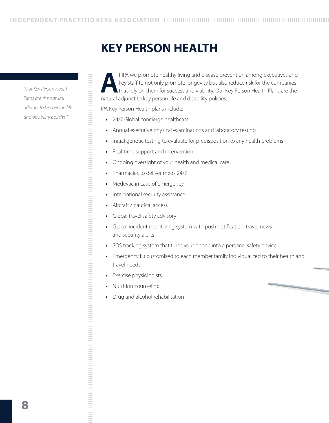# **KEY PERSON HEALTH**

*"Our Key Person Health Plans are the natural adjunct to key person life and disability policies."*

**A**t IPA we promote healthy living and disease prevention among executives and<br>key staff to not only promote longevity but also reduce risk for the companies<br>that rely on them for success and viability. Our Key Person Heal key staff to not only promote longevity but also reduce risk for the companies that rely on them for success and viability. Our Key Person Health Plans are the natural adjunct to key person life and disability policies.

IPA Key Person Health plans include:

- **•**  24/7 Global concierge healthcare
- **•**  Annual executive physical examinations and laboratory testing
- **•**  Initial genetic testing to evaluate for predisposition to any health problems
- **Real-time support and intervention**
- Ongoing oversight of your health and medical care
- **•**  Pharmacies to deliver meds 24/7
- **•**  Medevac in case of emergency
- **International security assistance**
- Aircraft / nautical access
- **Global travel safety advisory**
- **•**  Global incident monitoring system with push notification, travel news and security alerts
- **•**  SOS tracking system that turns your phone into a personal safety device
- **•**  Emergency kit customized to each member family individualized to their health and travel needs

**•**  Exercise physiologists

- **•**  Nutrition counseling
- **•**  Drug and alcohol rehabilitation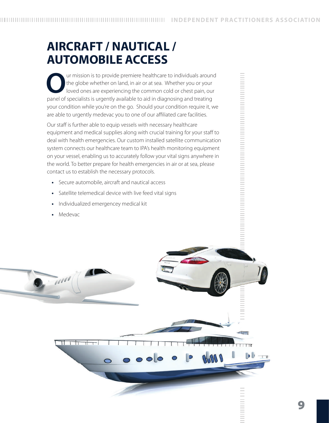# **AIRCRAFT / NAUTICAL / AUTOMOBILE ACCESS**

**O**ur mission is to provide premiere healthcare to individuals around the globe whether on land, in air or at sea. Whether you or your loved ones are experiencing the common cold or chest pain, our panel of specialists is urgently available to aid in diagnosing and treating your condition while you're on the go. Should your condition require it, we are able to urgently medevac you to one of our affiliated care facilities.

Our staff is further able to equip vessels with necessary healthcare equipment and medical supplies along with crucial training for your staff to deal with health emergencies. Our custom installed satellite communication system connects our healthcare team to IPA's health monitoring equipment on your vessel, enabling us to accurately follow your vital signs anywhere in the world. To better prepare for health emergencies in air or at sea, please contact us to establish the necessary protocols.

- **•**  Secure automobile, aircraft and nautical access
- **•**  Satellite telemedical device with live feed vital signs
- **•**  Individualized emergencey medical kit
- **•**  Medevac

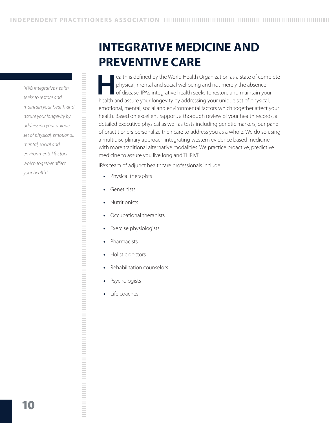*"IPA's integrative health seeks to restore and maintain your health and assure your longevity by addressing your unique set of physical, emotional, mental, social and environmental factors which together affect your health."*

# **INTEGRATIVE MEDICINE AND PREVENTIVE CARE**

ealth is defined by the World Health Organization as a state of complete physical, mental and social wellbeing and not merely the absence of disease. IPA's integrative health seeks to restore and maintain your health and assure your longevity by addressing your unique set of physical, emotional, mental, social and environmental factors which together affect your health. Based on excellent rapport, a thorough review of your health records, a detailed executive physical as well as tests including genetic markers, our panel of practitioners personalize their care to address you as a whole. We do so using a multidisciplinary approach integrating western evidence based medicine with more traditional alternative modalities. We practice proactive, predictive medicine to assure you live long and THRIVE.

IPA's team of adjunct healthcare professionals include:

- **•**  Physical therapists
- **•**  Geneticists
- **•**  Nutritionists
- **•**  Occupational therapists
- **•**  Exercise physiologists
- **•**  Pharmacists

- **•**  Holistic doctors
- **•**  Rehabilitation counselors
- **•**  Psychologists
- **•**  Life coaches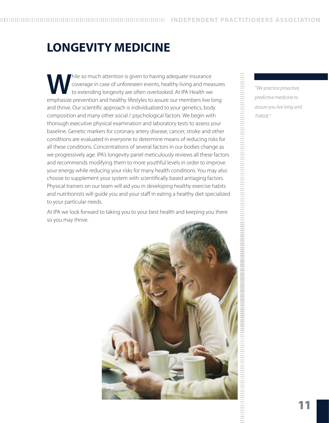# **LONGEVITY MEDICINE**

Thile so much attention is given to having adequate insurance<br>coverage in case of unforeseen events, healthy living and mea<br>to extending longevity are often overlooked. At IPA Health we<br>emphasize provention and healthy lif coverage in case of unforeseen events, healthy living and measures to extending longevity are often overlooked. At IPA Health we emphasize prevention and healthy lifestyles to assure our members live long and thrive. Our scientific approach is individualized to your genetics, body composition and many other social / psychological factors. We begin with thorough executive physical examination and laboratory tests to assess your baseline. Genetic markers for coronary artery disease, cancer, stroke and other conditions are evaluated in everyone to determine means of reducing risks for all these conditions. Concentrations of several factors in our bodies change as we progressively age. IPA's longevity panel meticulously reviews all these factors and recommends modifying them to more youthful levels in order to improve your energy while reducing your risks for many health conditions. You may also choose to supplement your system with scientifically based antiaging factors. Physical trainers on our team will aid you in developing healthy exercise habits and nutritionists will guide you and your staff in eating a healthy diet specialized to your particular needs.

At IPA we look forward to taking you to your best health and keeping you there so you may thrive.



*"We practice proactive, predictive medicine to assure you live long and THRIVE."*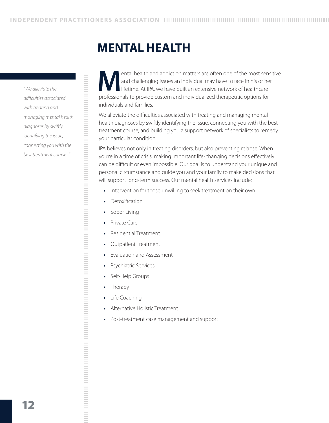# **MENTAL HEALTH**

*"We alleviate the difficulties associated with treating and managing mental health diagnoses by swiftly identifying the issue, connecting you with the best treatment course..."*

ental health and addiction matters are often one of the most sensitive<br>and challenging issues an individual may have to face in his or her<br>lifetime. At IPA, we have built an extensive network of healthcare<br>professionals to and challenging issues an individual may have to face in his or her lifetime. At IPA, we have built an extensive network of healthcare professionals to provide custom and individualized therapeutic options for individuals and families.

We alleviate the difficulties associated with treating and managing mental health diagnoses by swiftly identifying the issue, connecting you with the best treatment course, and building you a support network of specialists to remedy your particular condition.

IPA believes not only in treating disorders, but also preventing relapse. When you're in a time of crisis, making important life-changing decisions effectively can be difficult or even impossible. Our goal is to understand your unique and personal circumstance and guide you and your family to make decisions that will support long-term success. Our mental health services include:

- Intervention for those unwilling to seek treatment on their own
- **•**  Detoxification
- **•**  Sober Living
- **•**  Private Care
- **Residential Treatment**
- **Outpatient Treatment**
- **Evaluation and Assessment**
- **Psychiatric Services**
- Self-Help Groups
- **•**  Therapy

- **•**  Life Coaching
- **•**  Alternative Holistic Treatment
- **•**  Post-treatment case management and support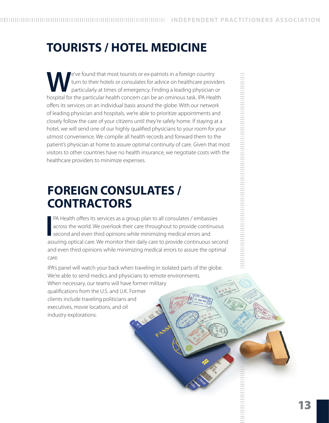# **TOURISTS / HOTEL MEDICINE**

E've found that most tourists or ex-patriots in a foreign country<br>turn to their hotels or consulates for advice on healthcare provident<br>particularly at times of emergency. Finding a leading physician is<br>hospital for the pa turn to their hotels or consulates for advice on healthcare providers particularly at times of emergency. Finding a leading physician or hospital for the particular health concern can be an ominous task. IPA Health offers its services on an individual basis around the globe. With our network of leading physician and hospitals, we're able to prioritize appointments and closely follow the care of your citizens until they're safely home. If staying at a hotel, we will send one of our highly qualified physicians to your room for your utmost convenience. We compile all health records and forward them to the patient's physician at home to assure optimal continuity of care. Given that most visitors to other countries have no health insurance, we negotiate costs with the healthcare providers to minimize expenses.

# **FOREIGN CONSULATES / CONTRACTORS**

**I** PA Health offers its services as a group plan to all consulates / embassies across the world. We overlook their care throughout to provide continuous second and even third opinions while minimizing medical errors and assuring optical care. We monitor their daily care to provide continuous second and even third opinions while minimizing medical errors to assure the optimal care.

IPA's panel will watch your back when traveling in isolated parts of the globe. We're able to send medics and physicians to remote environments. When necessary, our teams will have former military qualifications from the U.S. and U.K. Former clients include traveling politicians and executives, movie locations, and oil industry explorations.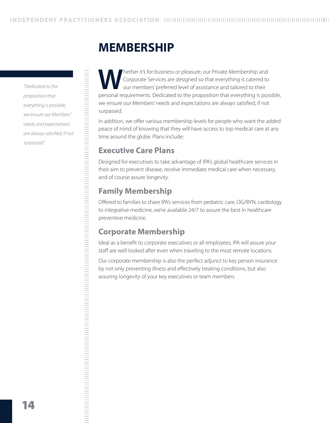## **MEMBERSHIP**

*"Dedicated to the proposition that everything is possible, we ensure our Members' needs and expectations are always satisfied, if not surpassed."*

Nether it's for business or pleasure, our Private Membership and<br>Corporate Services are designed so that everything is catered to<br>our members' preferred level of assistance and tailored to their<br>personal requirements. Dedi Corporate Services are designed so that everything is catered to our members' preferred level of assistance and tailored to their personal requirements. Dedicated to the proposition that everything is possible, we ensure our Members' needs and expectations are always satisfied, if not surpassed.

In addition, we offer various membership levels for people who want the added peace of mind of knowing that they will have access to top medical care at any time around the globe. Plans include:

## **Executive Care Plans**

Designed for executives to take advantage of IPA's global healthcare services in their aim to prevent disease, receive immediate medical care when necessary, and of course assure longevity.

## **Family Membership**

Offered to families to share IPA's services from pediatric care, OG/BYN, cardiology to integrative medicine, we're available 24/7 to assure the best in healthcare preventive medicine.

## **Corporate Membership**

Ideal as a benefit to corporate executives or all employees, IPA will assure your staff are well looked after even when traveling to the most remote locations.

Our corporate membership is also the perfect adjunct to key person insurance by not only preventing illness and effectively treating conditions, but also assuring longevity of your key executives or team members.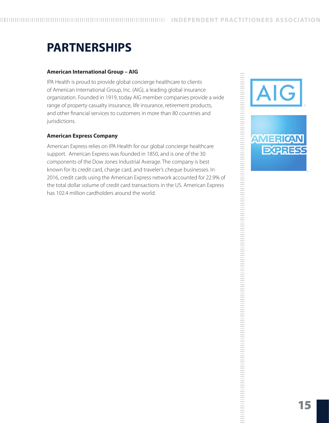# **PARTNERSHIPS**

#### **American International Group – AIG**

IPA Health is proud to provide global concierge healthcare to clients of American International Group, Inc. (AIG), a leading global insurance organization. Founded in 1919, today AIG member companies provide a wide range of property casualty insurance, life insurance, retirement products, and other financial services to customers in more than 80 countries and jurisdictions.

#### **American Express Company**

American Express relies on IPA Health for our global concierge healthcare support. American Express was founded in 1850, and is one of the 30 components of the Dow Jones Industrial Average. The company is best known for its credit card, charge card, and traveler's cheque businesses. In 2016, credit cards using the American Express network accounted for 22.9% of the total dollar volume of credit card transactions in the US. American Express has 102.4 million cardholders around the world.

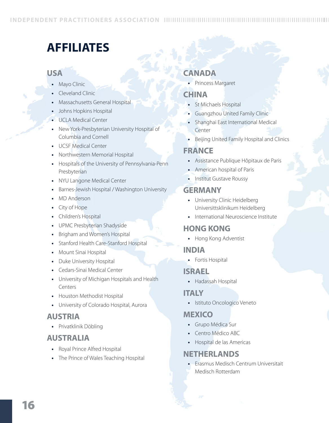# **AFFILIATES**

#### **USA**

- **Mayo Clinic**
- **•**  Cleveland Clinic
- **Massachusetts General Hospital**
- *b* Johns Hopkins Hospital
- **UCLA Medical Center**
- New York-Presbyterian University Hospital of Columbia and Cornell
- **•**  UCSF Medical Center
- **Northwestern Memorial Hospital**
- **•**  Hospitals of the University of Pennsylvania-Penn Presbyterian
- **NYU Langone Medical Center**
- Barnes-Jewish Hospital / Washington University
- **MD** Anderson
- **City of Hope**
- **•**  Children's Hospital
- UPMC Presbyterian Shadyside
- **Brigham and Women's Hospital**
- **Stanford Health Care-Stanford Hospital**
- **•**  Mount Sinai Hospital
- **•**  Duke University Hospital
- **Cedars-Sinai Medical Center**
- **•**  University of Michigan Hospitals and Health Centers
- **•**  Houston Methodist Hospital
- **University of Colorado Hospital, Aurora**

## **AUSTRIA**

**•**  Privatklinik Döbling

## **AUSTRALIA**

- **•**  Royal Prince Alfred Hospital
- **•**  The Prince of Wales Teaching Hospital

## **CANADA**

**•**  Princess Margaret

## **CHINA**

- **•**  St Michaels Hospital
- **Guangzhou United Family Clinic**
- **•**  Shanghai East International Medical Center
- **•**  Beijing United Family Hospital and Clinics

## **FRANCE**

- **•**  Assistance Publique Hôpitaux de Paris
- **•**  American hospital of Paris
- **•**  Institut Gustave Roussy

#### **GERMANY**

- **•**  University Clinic Heidelberg Universittsklinikum Heidelberg
- **•**  International Neuroscience Institute

## **HONG KONG**

**•**  Hong Kong Adventist

## **INDIA**

**•**  Fortis Hospital

## **ISRAEL**

**•**  Hadassah Hospital

#### **ITALY**

**•**  Istituto Oncologico Veneto

## **MEXICO**

- **•**  Grupo Médica Sur
- Centro Médico ABC
- **•**  Hospital de las Americas

## **NETHERLANDS**

**Erasmus Medisch Centrum Universitait** Medisch Rotterdam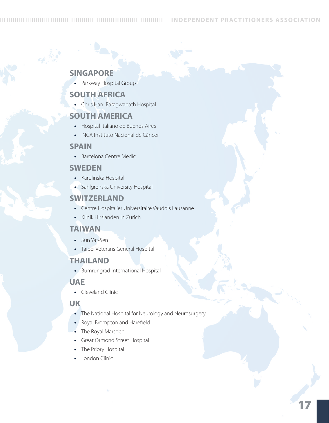#### **SINGAPORE**

**•**  Parkway Hospital Group

#### **SOUTH AFRICA**

**•**  Chris Hani Baragwanath Hospital

#### **SOUTH AMERICA**

- **•**  Hospital Italiano de Buenos Aires
- **•**  INCA Instituto Nacional de Câncer

#### **SPAIN**

**•**  Barcelona Centre Medic

#### **SWEDEN**

- **•**  Karolinska Hospital
- **•**  Sahlgrenska University Hospital

#### **SWITZERLAND**

- **•**  Centre Hospitalier Universitaire Vaudois Lausanne
- **•**  Klinik Hirslanden in Zurich

#### **Taiwan**

- **•**  Sun Yat-Sen
- **•**  Taipei Veterans General Hospital

#### **THAILAND**

**•**  Bumrungrad International Hospital

#### **UAE**

**•**  Cleveland Clinic

## **UK**

- **•**  The National Hospital for Neurology and Neurosurgery
- **•**  Royal Brompton and Harefield
- **•**  The Royal Marsden
- **•**  Great Ormond Street Hospital
- **•**  The Priory Hospital
- **•**  London Clinic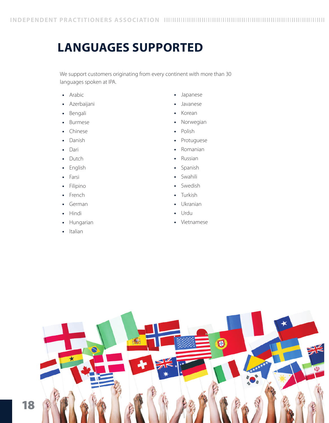## **Languages Supported**

We support customers originating from every continent with more than 30 languages spoken at IPA.

- **•**  Arabic
- **•**  Azerbaijani
- **•**  Bengali
- **•**  Burmese
- **•**  Chinese
- **•**  Danish
- **•**  Dari
- **•**  Dutch
- **•**  English
- **•**  Farsi
- **•**  Filipino
- **•**  French
- **•**  German
- **•**  Hindi
- **•**  Hungarian
- **•**  Italian
- **•**  Japanese
- **•**  Javanese
- **•**  Korean
- **•**  Norwegian
- **•**  Polish
- **•**  Protuguese
- **•**  Romanian
- **•**  Russian
- **•**  Spanish
- **•**  Swahili
- **•**  Swedish
- **•**  Turkish
- **•**  Ukranian
- **•**  Urdu
- **•**  Vietnamese